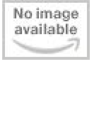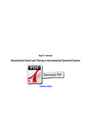*Magdi S. Mahmoud*

## **Decentralized Control and Filtering in Interconnected Dynamical Systems**

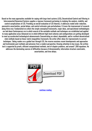Based on the many approaches available for coping with large-level systems (LSS), Decentralized Control and Filtering in Interconnected Dynamical Systems supplies a rigorous framework pertaining to studying the analysis, stability, and control complications of LSS. Providing an overall evaluation of LSS theories, it addresses model order reduction, parametric uncertainties, period delays, and control estimator gain perturbations. It traces the improvement of research along three eras: Fundamental era where the simple conceptual frameworks, major ideas, and operational methodologies are laid down Contemporary era in which several of the workable methods and techniques are established and applied to many application areas Advanced era in which different high-level schemes and configurations are getting developed to meet up accelerated technological advancements Concentrating on robust, dependable, and/or resilient decentralized style methods based on linear matrix inequalities framework, the writer offers ideas for improvements to current techniques. Taking readers on a guided tour through LSS, the reserve examines recent developments and approaches and testimonials past methods and outcomes from a modern perspective. Drawing attention to key issues, the written text is supported by proofs, efficient computational methods, end-of-chapter problems, and around 1,300 equations. He addresses the dominating sources of difficulties because of dimensionality, information structure constraints, uncertainties, and time delays.



[continue reading](http://bit.ly/2Tge8Fv)